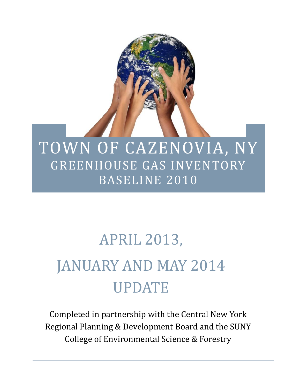## TOWN OF CAZENOVIA, NY GREENHOUSE GAS INVENTORY BASELINE 2010

# APRIL 2013, JANUARY AND MAY 2014 UPDATE

Completed in partnership with the Central New York Regional Planning & Development Board and the SUNY College of Environmental Science & Forestry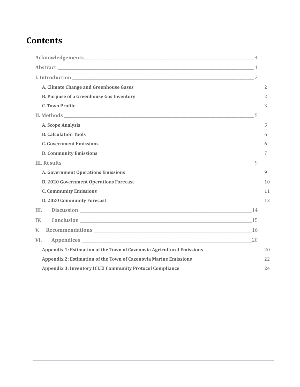### **Contents**

| A. Climate Change and Greenhouse Gases                                 |    | $\overline{2}$ |
|------------------------------------------------------------------------|----|----------------|
| <b>B. Purpose of a Greenhouse Gas Inventory</b>                        |    | 2              |
| C. Town Profile                                                        |    | 3              |
|                                                                        | 5  |                |
| <b>A. Scope Analysis</b>                                               |    | 5              |
| <b>B. Calculation Tools</b>                                            |    | 6              |
| <b>C. Government Emissions</b>                                         |    | 6              |
| <b>D. Community Emissions</b>                                          |    | 7              |
|                                                                        | Q  |                |
| <b>A. Government Operations Emissions</b>                              |    | 9              |
| <b>B. 2020 Government Operations Forecast</b>                          |    | 10             |
| <b>C. Community Emissions</b>                                          |    | 11             |
| D. 2020 Community Forecast                                             |    | 12             |
| III.                                                                   |    |                |
| IV.<br><b>Conclusion</b> 15                                            |    |                |
| V.<br>Recommendations 16                                               |    |                |
| VI.                                                                    | 20 |                |
| Appendix 1: Estimation of the Town of Cazenovia Agricultural Emissions |    | 20             |
| Appendix 2: Estimation of the Town of Cazenovia Marine Emissions       |    | 22             |
| <b>Appendix 3: Inventory ICLEI Community Protocol Compliance</b>       |    | 24             |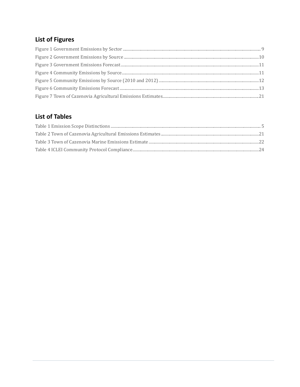### **List of Figures**

### **List of Tables**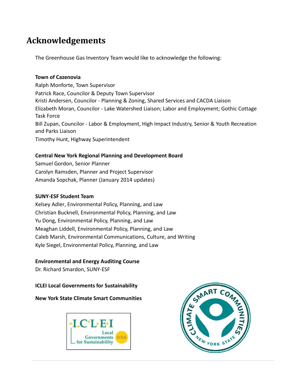### <span id="page-3-0"></span>**Acknowledgements**

The Greenhouse Gas Inventory Team would like to acknowledge the following:

#### **Town of Cazenovia**

Ralph Monforte, Town Supervisor Patrick Race, Councilor & Deputy Town Supervisor Kristi Andersen, Councilor - Planning & Zoning, Shared Services and CACDA Liaison Elizabeth Moran, Councilor - Lake Watershed Liaison; Labor and Employment; Gothic Cottage Task Force Bill Zupan, Councilor - Labor & Employment, High Impact Industry, Senior & Youth Recreation and Parks Liaison Timothy Hunt, Highway Superintendent

#### **Central New York Regional Planning and Development Board**

Samuel Gordon, Senior Planner Carolyn Ramsden, Planner and Project Supervisor Amanda Sopchak, Planner (January 2014 updates)

#### **SUNY-ESF Student Team**

Kelsey Adler, Environmental Policy, Planning, and Law Christian Bucknell, Environmental Policy, Planning, and Law Yu Dong, Environmental Policy, Planning, and Law Meaghan Liddell, Environmental Policy, Planning, and Law Caleb Marsh, Environmental Communications, Culture, and Writing Kyle Siegel, Environmental Policy, Planning, and Law

#### **Environmental and Energy Auditing Course**

Dr. Richard Smardon, SUNY-ESF

#### **ICLEI Local Governments for Sustainability**

**New York State Climate Smart Communities**



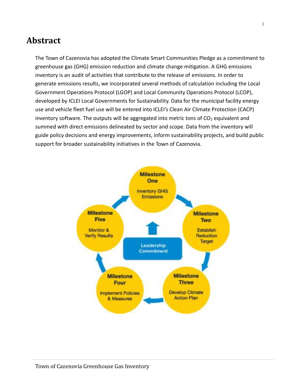### <span id="page-4-0"></span>**Abstract**

The Town of Cazenovia has adopted the Climate Smart Communities Pledge as a commitment to greenhouse gas (GHG) emission reduction and climate change mitigation. A GHG emissions inventory is an audit of activities that contribute to the release of emissions. In order to generate emissions results, we incorporated several methods of calculation including the Local Government Operations Protocol (LGOP) and Local Community Operations Protocol (LCOP), developed by ICLEI Local Governments for Sustainability. Data for the municipal facility energy use and vehicle fleet fuel use will be entered into ICLEI's Clean Air Climate Protection (CACP) inventory software. The outputs will be aggregated into metric tons of  $CO<sub>2</sub>$  equivalent and summed with direct emissions delineated by sector and scope. Data from the inventory will guide policy decisions and energy improvements, inform sustainability projects, and build public support for broader sustainability initiatives in the Town of Cazenovia.

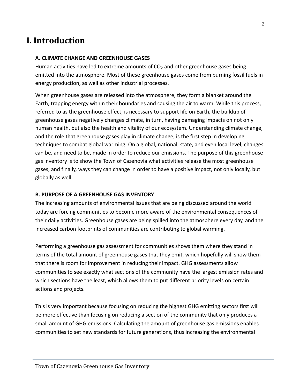### <span id="page-5-0"></span>**I. Introduction**

#### <span id="page-5-1"></span>**A. CLIMATE CHANGE AND GREENHOUSE GASES**

Human activities have led to extreme amounts of  $CO<sub>2</sub>$  and other greenhouse gases being emitted into the atmosphere. Most of these greenhouse gases come from burning fossil fuels in energy production, as well as other industrial processes.

When greenhouse gases are released into the atmosphere, they form a blanket around the Earth, trapping energy within their boundaries and causing the air to warm. While this process, referred to as the greenhouse effect, is necessary to support life on Earth, the buildup of greenhouse gases negatively changes climate, in turn, having damaging impacts on not only human health, but also the health and vitality of our ecosystem. Understanding climate change, and the role that greenhouse gases play in climate change, is the first step in developing techniques to combat global warming. On a global, national, state, and even local level, changes can be, and need to be, made in order to reduce our emissions. The purpose of this greenhouse gas inventory is to show the Town of Cazenovia what activities release the most greenhouse gases, and finally, ways they can change in order to have a positive impact, not only locally, but globally as well.

#### <span id="page-5-2"></span>**B. PURPOSE OF A GREENHOUSE GAS INVENTORY**

The increasing amounts of environmental issues that are being discussed around the world today are forcing communities to become more aware of the environmental consequences of their daily activities. Greenhouse gases are being spilled into the atmosphere every day, and the increased carbon footprints of communities are contributing to global warming.

Performing a greenhouse gas assessment for communities shows them where they stand in terms of the total amount of greenhouse gases that they emit, which hopefully will show them that there is room for improvement in reducing their impact. GHG assessments allow communities to see exactly what sections of the community have the largest emission rates and which sections have the least, which allows them to put different priority levels on certain actions and projects.

This is very important because focusing on reducing the highest GHG emitting sectors first will be more effective than focusing on reducing a section of the community that only produces a small amount of GHG emissions. Calculating the amount of greenhouse gas emissions enables communities to set new standards for future generations, thus increasing the environmental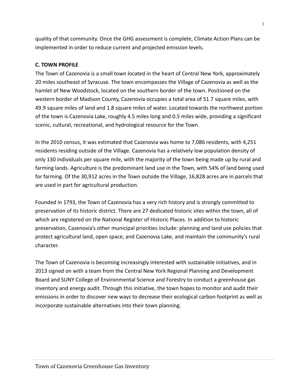quality of that community. Once the GHG assessment is complete, Climate Action Plans can be implemented in order to reduce current and projected emission levels.

#### <span id="page-6-0"></span>**C. TOWN PROFILE**

The Town of Cazenovia is a small town located in the heart of Central New York, approximately 20 miles southeast of Syracuse. The town encompasses the Village of Cazenovia as well as the hamlet of New Woodstock, located on the southern border of the town. Positioned on the western border of Madison County, Cazenovia occupies a total area of 51.7 square miles, with 49.9 square miles of land and 1.8 square miles of water. Located towards the northwest portion of the town is Cazenovia Lake, roughly 4.5 miles long and 0.5 miles wide, providing a significant scenic, cultural, recreational, and hydrological resource for the Town.

In the 2010 census, it was estimated that Cazenovia was home to 7,086 residents, with 4,251 residents residing outside of the Village. Cazenovia has a relatively low population density of only 130 individuals per square mile, with the majority of the town being made up by rural and farming lands. Agriculture is the predominant land use in the Town, with 54% of land being used for farming. Of the 30,912 acres in the Town outside the Village, 16,828 acres are in parcels that are used in part for agricultural production.

Founded in 1793, the Town of Cazenovia has a very rich history and is strongly committed to preservation of its historic district. There are 27 dedicated historic sites within the town, all of which are registered on the National Register of Historic Places. In addition to historic preservation, Cazenovia's other municipal priorities include: planning and land use policies that protect agricultural land, open space, and Cazenovia Lake, and maintain the community's rural character.

The Town of Cazenovia is becoming increasingly interested with sustainable initiatives, and in 2013 signed on with a team from the Central New York Regional Planning and Development Board and SUNY College of Environmental Science and Forestry to conduct a greenhouse gas inventory and energy audit. Through this initiative, the town hopes to monitor and audit their emissions in order to discover new ways to decrease their ecological carbon footprint as well as incorporate sustainable alternatives into their town planning.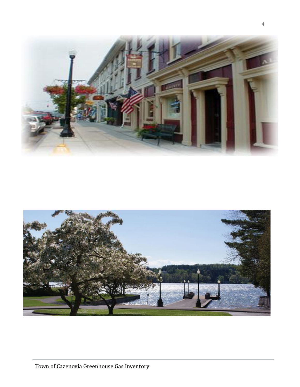

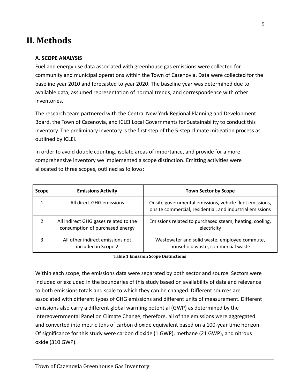### <span id="page-8-0"></span>**II. Methods**

### <span id="page-8-1"></span>**A. SCOPE ANALYSIS**

Fuel and energy use data associated with greenhouse gas emissions were collected for community and municipal operations within the Town of Cazenovia. Data were collected for the baseline year 2010 and forecasted to year 2020. The baseline year was determined due to available data, assumed representation of normal trends, and correspondence with other inventories.

The research team partnered with the Central New York Regional Planning and Development Board, the Town of Cazenovia, and ICLEI Local Governments for Sustainability to conduct this inventory. The preliminary inventory is the first step of the 5-step climate mitigation process as outlined by ICLEI.

In order to avoid double counting, isolate areas of importance, and provide for a more comprehensive inventory we implemented a scope distinction. Emitting activities were allocated to three scopes, outlined as follows:

| <b>Scope</b> | <b>Emissions Activity</b>                                                | <b>Town Sector by Scope</b>                                                                                         |
|--------------|--------------------------------------------------------------------------|---------------------------------------------------------------------------------------------------------------------|
|              | All direct GHG emissions                                                 | Onsite governmental emissions, vehicle fleet emissions,<br>onsite commercial, residential, and industrial emissions |
| 2            | All indirect GHG gases related to the<br>consumption of purchased energy | Emissions related to purchased steam, heating, cooling,<br>electricity                                              |
|              | All other indirect emissions not<br>included in Scope 2                  | Wastewater and solid waste, employee commute,<br>household waste, commercial waste                                  |

**Table 1 Emission Scope Distinctions**

<span id="page-8-2"></span>Within each scope, the emissions data were separated by both sector and source. Sectors were included or excluded in the boundaries of this study based on availability of data and relevance to both emissions totals and scale to which they can be changed. Different sources are associated with different types of GHG emissions and different units of measurement. Different emissions also carry a different global warming potential (GWP) as determined by the Intergovernmental Panel on Climate Change; therefore, all of the emissions were aggregated and converted into metric tons of carbon dioxide equivalent based on a 100-year time horizon. Of significance for this study were carbon dioxide (1 GWP), methane (21 GWP), and nitrous oxide (310 GWP).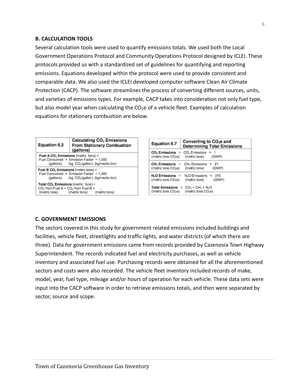#### <span id="page-9-0"></span>**B. CALCULATION TOOLS**

Several calculation tools were used to quantify emissions totals. We used both the Local Government Operations Protocol and Community Operations Protocol designed by ICLEI. These protocols provided us with a standardized set of guidelines for quantifying and reporting emissions. Equations developed within the protocol were used to provide consistent and comparable data. We also used the ICLEI developed computer software Clean Air Climate Protection (CACP). The software streamlines the process of converting different sources, units, and varieties of emissions types. For example, CACP takes into consideration not only fuel type, but also model year when calculating the  $CO<sub>2</sub>e$  of a vehicle fleet. Examples of calculation equations for stationary combustion are below.

| <b>Equation 6.2</b>                                                              | Calculating CO <sub>2</sub> Emissions<br><b>From Stationary Combustion</b><br>(gallons) |  |  |  |  |  |
|----------------------------------------------------------------------------------|-----------------------------------------------------------------------------------------|--|--|--|--|--|
|                                                                                  | Fuel A CO <sub>2</sub> Emissions (metric tons) =                                        |  |  |  |  |  |
|                                                                                  | Fuel Consumed × Emission Factor + 1,000                                                 |  |  |  |  |  |
|                                                                                  | (gallons) (kg CO <sub>2</sub> /gallon) (kg/metric ton)                                  |  |  |  |  |  |
| Fuel B CO <sub>2</sub> Emissions (metric tons) =                                 | Fuel Consumed × Emission Factor + 1,000                                                 |  |  |  |  |  |
| (gallons)                                                                        | (kg CO <sub>2</sub> /gallon) (kg/metric ton)                                            |  |  |  |  |  |
| Total $CO2$ Emissions (metric tons) =<br>$CO2$ from Fuel A + $CO2$ from Fuel B + |                                                                                         |  |  |  |  |  |
|                                                                                  | (metric tons) (metric tons) (metric tons)                                               |  |  |  |  |  |

| <b>Equation 6.7</b>                                           | Converting to CO <sub>2</sub> e and<br><b>Determining Total Emissions</b> |  |  |  |  |  |  |  |  |
|---------------------------------------------------------------|---------------------------------------------------------------------------|--|--|--|--|--|--|--|--|
| CO <sub>2</sub> Emissions<br>(metric tons CO2e)               | CO <sub>2</sub> Emissions<br>30 T<br>(metric tons)<br>(GWP)               |  |  |  |  |  |  |  |  |
| <b>CH. Emissions</b><br>(metric tons CO <sub>2</sub> e)       | CH <sub>4</sub> Emissions<br>x 21<br>(metric tons)<br>(GWP)               |  |  |  |  |  |  |  |  |
| N <sub>2</sub> O Emissions<br>(metric tons CO <sub>2</sub> e) | N <sub>2</sub> O Emissions × 310<br>(metric tons)<br>(GWP)                |  |  |  |  |  |  |  |  |
| <b>Total Emissions</b><br>(metric tons CO <sub>2</sub> e)     | $CO2 + CH4 + N2O$<br>(metric tons CO <sub>2</sub> e)                      |  |  |  |  |  |  |  |  |

#### <span id="page-9-1"></span>**C. GOVERNMENT EMISSIONS**

The sectors covered in this study for government related emissions included buildings and facilities, vehicle fleet, streetlights and traffic lights, and water districts (of which there are three). Data for government emissions came from records provided by Cazenovia Town Highway Superintendent. The records indicated fuel and electricity purchases, as well as vehicle inventory and associated fuel use. Purchasing records were obtained for all the aforementioned sectors and costs were also recorded. The vehicle fleet inventory included records of make, model, year, fuel type, mileage and/or hours of operation for each vehicle. These data sets were input into the CACP software in order to retrieve emissions totals, and then were separated by sector, source and scope.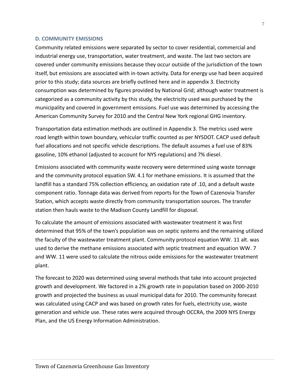#### <span id="page-10-0"></span>**D. COMMUNITY EMISSIONS**

Community related emissions were separated by sector to cover residential, commercial and industrial energy use, transportation, water treatment, and waste. The last two sectors are covered under community emissions because they occur outside of the jurisdiction of the town itself, but emissions are associated with in-town activity. Data for energy use had been acquired prior to this study; data sources are briefly outlined here and in appendix 3. Electricity consumption was determined by figures provided by National Grid; although water treatment is categorized as a community activity by this study, the electricity used was purchased by the municipality and covered in government emissions. Fuel use was determined by accessing the American Community Survey for 2010 and the Central New York regional GHG inventory.

Transportation data estimation methods are outlined in Appendix 3. The metrics used were road length within town boundary, vehicular traffic counted as per NYSDOT. CACP used default fuel allocations and not specific vehicle descriptions. The default assumes a fuel use of 83% gasoline, 10% ethanol (adjusted to account for NYS regulations) and 7% diesel.

Emissions associated with community waste recovery were determined using waste tonnage and the community protocol equation SW. 4.1 for methane emissions. It is assumed that the landfill has a standard 75% collection efficiency, an oxidation rate of .10, and a default waste component ratio. Tonnage data was derived from reports for the Town of Cazenovia Transfer Station, which accepts waste directly from community transportation sources. The transfer station then hauls waste to the Madison County Landfill for disposal.

To calculate the amount of emissions associated with wastewater treatment it was first determined that 95% of the town's population was on septic systems and the remaining utilized the faculty of the wastewater treatment plant. Community protocol equation WW. 11 alt. was used to derive the methane emissions associated with septic treatment and equation WW. 7 and WW. 11 were used to calculate the nitrous oxide emissions for the wastewater treatment plant.

The forecast to 2020 was determined using several methods that take into account projected growth and development. We factored in a 2% growth rate in population based on 2000-2010 growth and projected the business as usual municipal data for 2010. The community forecast was calculated using CACP and was based on growth rates for fuels, electricity use, waste generation and vehicle use. These rates were acquired through OCCRA, the 2009 NYS Energy Plan, and the US Energy Information Administration.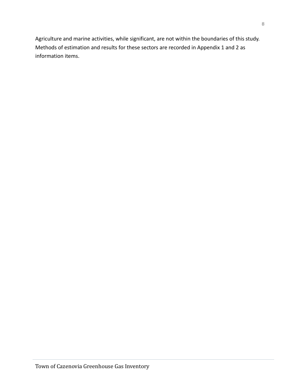Agriculture and marine activities, while significant, are not within the boundaries of this study. Methods of estimation and results for these sectors are recorded in Appendix 1 and 2 as information items.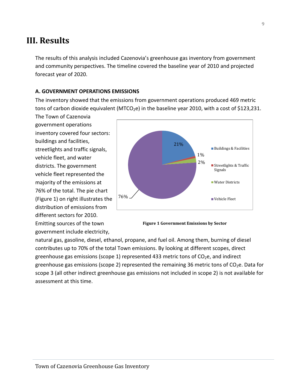### <span id="page-12-0"></span>**III. Results**

The results of this analysis included Cazenovia's greenhouse gas inventory from government and community perspectives. The timeline covered the baseline year of 2010 and projected forecast year of 2020.

#### <span id="page-12-1"></span>**A. GOVERNMENT OPERATIONS EMISSIONS**

The inventory showed that the emissions from government operations produced 469 metric tons of carbon dioxide equivalent (MTCO<sub>2</sub>e) in the baseline year 2010, with a cost of \$123,231.

The Town of Cazenovia government operations inventory covered four sectors: buildings and facilities, streetlights and traffic signals, vehicle fleet, and water districts. The government vehicle fleet represented the majority of the emissions at 76% of the total. The pie chart (Figure 1) on right illustrates the distribution of emissions from different sectors for 2010. Emitting sources of the town government include electricity,



**Figure 1 Government Emissions by Sector**

natural gas, gasoline, diesel, ethanol, propane, and fuel oil. Among them, burning of diesel contributes up to 70% of the total Town emissions. By looking at different scopes, direct greenhouse gas emissions (scope 1) represented 433 metric tons of  $CO<sub>2</sub>e$ , and indirect greenhouse gas emissions (scope 2) represented the remaining 36 metric tons of  $CO<sub>2</sub>e$ . Data for scope 3 (all other indirect greenhouse gas emissions not included in scope 2) is not available for assessment at this time.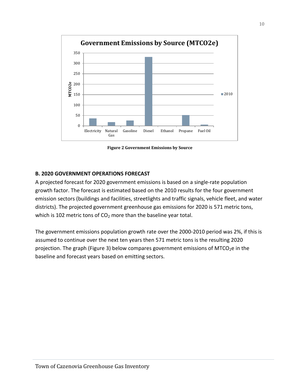

**Figure 2 Government Emissions by Source**

#### <span id="page-13-1"></span><span id="page-13-0"></span>**B. 2020 GOVERNMENT OPERATIONS FORECAST**

A projected forecast for 2020 government emissions is based on a single-rate population growth factor. The forecast is estimated based on the 2010 results for the four government emission sectors (buildings and facilities, streetlights and traffic signals, vehicle fleet, and water districts). The projected government greenhouse gas emissions for 2020 is 571 metric tons, which is 102 metric tons of  $CO<sub>2</sub>$  more than the baseline year total.

The government emissions population growth rate over the 2000-2010 period was 2%, if this is assumed to continue over the next ten years then 571 metric tons is the resulting 2020 projection. The graph (Figure 3) below compares government emissions of MTCO<sub>2</sub>e in the baseline and forecast years based on emitting sectors.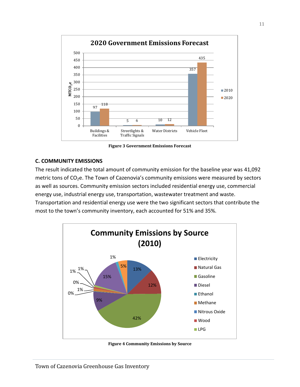

**Figure 3 Government Emissions Forecast**

#### <span id="page-14-1"></span><span id="page-14-0"></span>**C. COMMUNITY EMISSIONS**

The result indicated the total amount of community emission for the baseline year was 41,092 metric tons of  $CO<sub>2</sub>e$ . The Town of Cazenovia's community emissions were measured by sectors as well as sources. Community emission sectors included residential energy use, commercial energy use, industrial energy use, transportation, wastewater treatment and waste. Transportation and residential energy use were the two significant sectors that contribute the most to the town's community inventory, each accounted for 51% and 35%.



<span id="page-14-2"></span>**Figure 4 Community Emissions by Source**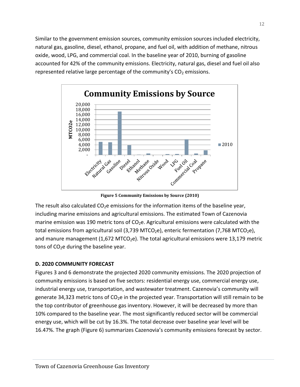Similar to the government emission sources, community emission sources included electricity, natural gas, gasoline, diesel, ethanol, propane, and fuel oil, with addition of methane, nitrous oxide, wood, LPG, and commercial coal. In the baseline year of 2010, burning of gasoline accounted for 42% of the community emissions. Electricity, natural gas, diesel and fuel oil also represented relative large percentage of the community's  $CO<sub>2</sub>$  emissions.



**Figure 5 Community Emissions by Source (2010)**

<span id="page-15-1"></span>The result also calculated  $CO<sub>2</sub>e$  emissions for the information items of the baseline year, including marine emissions and agricultural emissions. The estimated Town of Cazenovia marine emission was 190 metric tons of  $CO<sub>2</sub>e$ . Agricultural emissions were calculated with the total emissions from agricultural soil (3,739 MTCO<sub>2</sub>e), enteric fermentation (7,768 MTCO<sub>2</sub>e), and manure management  $(1,672$  MTCO<sub>2</sub>e). The total agricultural emissions were 13,179 metric tons of  $CO<sub>2</sub>e$  during the baseline year.

#### <span id="page-15-0"></span>**D. 2020 COMMUNITY FORECAST**

Figures 3 and 6 demonstrate the projected 2020 community emissions. The 2020 projection of community emissions is based on five sectors: residential energy use, commercial energy use, industrial energy use, transportation, and wastewater treatment. Cazenovia's community will generate 34,323 metric tons of  $CO<sub>2</sub>e$  in the projected year. Transportation will still remain to be the top contributor of greenhouse gas inventory. However, it will be decreased by more than 10% compared to the baseline year. The most significantly reduced sector will be commercial energy use, which will be cut by 16.3%. The total decrease over baseline year level will be 16.47%. The graph (Figure 6) summarizes Cazenovia's community emissions forecast by sector.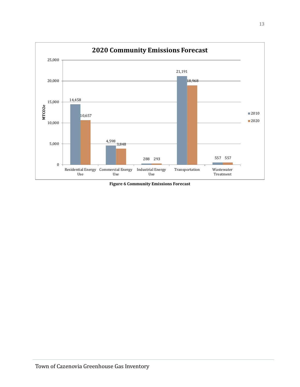

<span id="page-16-0"></span>**Figure 6 Community Emissions Forecast**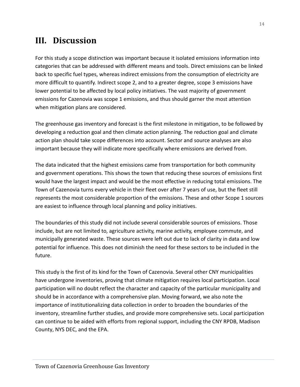### <span id="page-17-0"></span>**III. Discussion**

For this study a scope distinction was important because it isolated emissions information into categories that can be addressed with different means and tools. Direct emissions can be linked back to specific fuel types, whereas indirect emissions from the consumption of electricity are more difficult to quantify. Indirect scope 2, and to a greater degree, scope 3 emissions have lower potential to be affected by local policy initiatives. The vast majority of government emissions for Cazenovia was scope 1 emissions, and thus should garner the most attention when mitigation plans are considered.

The greenhouse gas inventory and forecast is the first milestone in mitigation, to be followed by developing a reduction goal and then climate action planning. The reduction goal and climate action plan should take scope differences into account. Sector and source analyses are also important because they will indicate more specifically where emissions are derived from.

The data indicated that the highest emissions came from transportation for both community and government operations. This shows the town that reducing these sources of emissions first would have the largest impact and would be the most effective in reducing total emissions. The Town of Cazenovia turns every vehicle in their fleet over after 7 years of use, but the fleet still represents the most considerable proportion of the emissions. These and other Scope 1 sources are easiest to influence through local planning and policy initiatives.

The boundaries of this study did not include several considerable sources of emissions. Those include, but are not limited to, agriculture activity, marine activity, employee commute, and municipally generated waste. These sources were left out due to lack of clarity in data and low potential for influence. This does not diminish the need for these sectors to be included in the future.

This study is the first of its kind for the Town of Cazenovia. Several other CNY municipalities have undergone inventories, proving that climate mitigation requires local participation. Local participation will no doubt reflect the character and capacity of the particular municipality and should be in accordance with a comprehensive plan. Moving forward, we also note the importance of institutionalizing data collection in order to broaden the boundaries of the inventory, streamline further studies, and provide more comprehensive sets. Local participation can continue to be aided with efforts from regional support, including the CNY RPDB, Madison County, NYS DEC, and the EPA.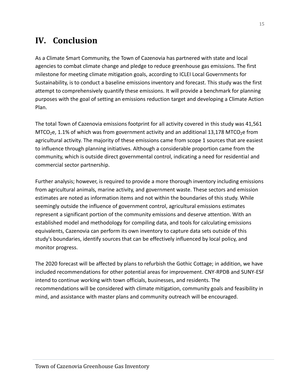### <span id="page-18-0"></span>**IV. Conclusion**

As a Climate Smart Community, the Town of Cazenovia has partnered with state and local agencies to combat climate change and pledge to reduce greenhouse gas emissions. The first milestone for meeting climate mitigation goals, according to ICLEI Local Governments for Sustainability, is to conduct a baseline emissions inventory and forecast. This study was the first attempt to comprehensively quantify these emissions. It will provide a benchmark for planning purposes with the goal of setting an emissions reduction target and developing a Climate Action Plan.

The total Town of Cazenovia emissions footprint for all activity covered in this study was 41,561 MTCO<sub>2</sub>e, 1.1% of which was from government activity and an additional 13,178 MTCO<sub>2</sub>e from agricultural activity. The majority of these emissions came from scope 1 sources that are easiest to influence through planning initiatives. Although a considerable proportion came from the community, which is outside direct governmental control, indicating a need for residential and commercial sector partnership.

Further analysis; however, is required to provide a more thorough inventory including emissions from agricultural animals, marine activity, and government waste. These sectors and emission estimates are noted as information items and not within the boundaries of this study. While seemingly outside the influence of government control, agricultural emissions estimates represent a significant portion of the community emissions and deserve attention. With an established model and methodology for compiling data, and tools for calculating emissions equivalents, Cazenovia can perform its own inventory to capture data sets outside of this study's boundaries, identify sources that can be effectively influenced by local policy, and monitor progress.

The 2020 forecast will be affected by plans to refurbish the Gothic Cottage; in addition, we have included recommendations for other potential areas for improvement. CNY-RPDB and SUNY-ESF intend to continue working with town officials, businesses, and residents. The recommendations will be considered with climate mitigation, community goals and feasibility in mind, and assistance with master plans and community outreach will be encouraged.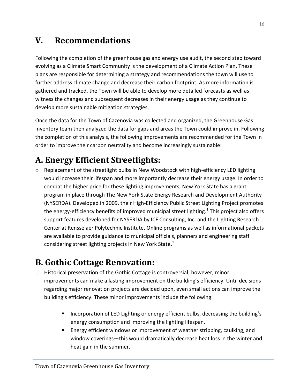### <span id="page-19-0"></span>**V. Recommendations**

Following the completion of the greenhouse gas and energy use audit, the second step toward evolving as a Climate Smart Community is the development of a Climate Action Plan. These plans are responsible for determining a strategy and recommendations the town will use to further address climate change and decrease their carbon footprint. As more information is gathered and tracked, the Town will be able to develop more detailed forecasts as well as witness the changes and subsequent decreases in their energy usage as they continue to develop more sustainable mitigation strategies.

Once the data for the Town of Cazenovia was collected and organized, the Greenhouse Gas Inventory team then analyzed the data for gaps and areas the Town could improve in. Following the completion of this analysis, the following improvements are recommended for the Town in order to improve their carbon neutrality and become increasingly sustainable:

### **A. Energy Efficient Streetlights:**

 $\circ$  Replacement of the streetlight bulbs in New Woodstock with high-efficiency LED lighting would increase their lifespan and more importantly decrease their energy usage. In order to combat the higher price for these lighting improvements, New York State has a grant program in place through The New York State Energy Research and Development Authority (NYSERDA). Developed in 2009, their High-Efficiency Public Street Lighting Project promotes the energy-efficiency benefits of improved municipal street lighting.<sup>1</sup> This project also offers support features developed for NYSERDA by ICF Consulting, Inc. and the Lighting Research Center at Rensselaer Polytechnic Institute. Online programs as well as informational packets are available to provide guidance to municipal officials, planners and engineering staff considering street lighting projects in New York State.<sup>1</sup>

### **B. Gothic Cottage Renovation:**

- o Historical preservation of the Gothic Cottage is controversial; however, minor improvements can make a lasting improvement on the building's efficiency. Until decisions regarding major renovation projects are decided upon, even small actions can improve the building's efficiency. These minor improvements include the following:
	- **Incorporation of LED Lighting or energy efficient bulbs, decreasing the building's** energy consumption and improving the lighting lifespan.
	- **Energy efficient windows or improvement of weather stripping, caulking, and** window coverings—this would dramatically decrease heat loss in the winter and heat gain in the summer.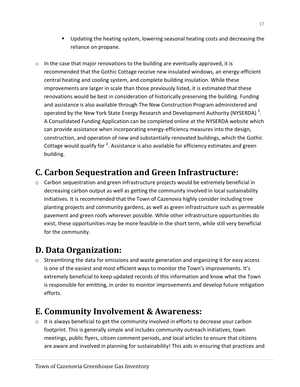- Updating the heating system, lowering seasonal heating costs and decreasing the reliance on propane.
- $\circ$  In the case that major renovations to the building are eventually approved, it is recommended that the Gothic Cottage receive new insulated windows, an energy-efficient central heating and cooling system, and complete building insulation. While these improvements are larger in scale than those previously listed, it is estimated that these renovations would be best in consideration of historically preserving the building. Funding and assistance is also available through The New Construction Program administered and operated by the New York State Energy Research and Development Authority (NYSERDA)  $^2$ . A Consolidated Funding Application can be completed online at the NYSERDA website which can provide assistance when incorporating energy-efficiency measures into the design, construction, and operation of new and substantially renovated buildings, which the Gothic Cottage would qualify for  $^2$ . Assistance is also available for efficiency estimates and green building.

### **C. Carbon Sequestration and Green Infrastructure:**

o Carbon sequestration and green infrastructure projects would be extremely beneficial in decreasing carbon output as well as getting the community involved in local sustainability initiatives. It is recommended that the Town of Cazenovia highly consider including tree planting projects and community gardens, as well as green infrastructure such as permeable pavement and green roofs wherever possible. While other infrastructure opportunities do exist, these opportunities may be more feasible in the short term, while still very beneficial for the community.

### **D. Data Organization:**

 $\circ$  Streamlining the data for emissions and waste generation and organizing it for easy access is one of the easiest and most efficient ways to monitor the Town's improvements. It's extremely beneficial to keep updated records of this information and know what the Town is responsible for emitting, in order to monitor improvements and develop future mitigation efforts.

### **E. Community Involvement & Awareness:**

 $\circ$  It is always beneficial to get the community involved in efforts to decrease your carbon footprint. This is generally simple and includes community outreach initiatives, town meetings, public flyers, citizen comment periods, and local articles to ensure that citizens are aware and involved in planning for sustainability! This aids in ensuring that practices and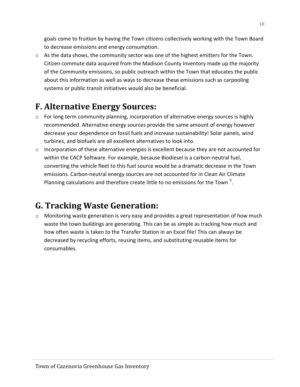goals come to fruition by having the Town citizens collectively working with the Town Board to decrease emissions and energy consumption.

 $\circ$  As the data shows, the community sector was one of the highest emitters for the Town. Citizen commute data acquired from the Madison County Inventory made up the majority of the Community emissions, so public outreach within the Town that educates the public about this information as well as ways to decrease these emissions such as carpooling systems or public transit initiatives would also be beneficial.

### **F. Alternative Energy Sources:**

- o For long term community planning, incorporation of alternative energy sources is highly recommended. Alternative energy sources provide the same amount of energy however decrease your dependence on fossil fuels and increase sustainability! Solar panels, wind turbines, and biofuels are all excellent alternatives to look into.
- $\circ$  Incorporation of these alternative energies is excellent because they are not accounted for within the CACP Software. For example, because Biodiesel is a carbon-neutral fuel, converting the vehicle fleet to this fuel source would be a dramatic decrease in the Town emissions. Carbon-neutral energy sources are not accounted for in Clean Air Climate Planning calculations and therefore create little to no emissions for the Town<sup>3</sup>.

### **G. Tracking Waste Generation:**

 $\circ$  Monitoring waste generation is very easy and provides a great representation of how much waste the town buildings are generating. This can be as simple as tracking how much and how often waste is taken to the Transfer Station in an Excel file! This can always be decreased by recycling efforts, reusing items, and substituting reusable items for consumables.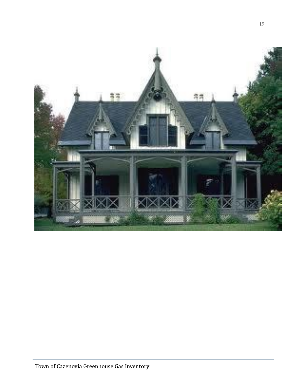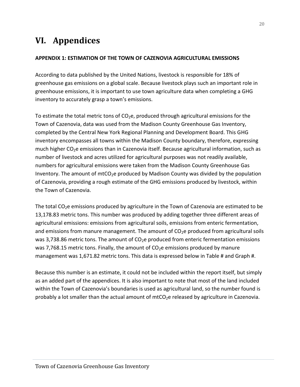### <span id="page-23-0"></span>**VI. Appendices**

#### <span id="page-23-1"></span>**APPENDIX 1: ESTIMATION OF THE TOWN OF CAZENOVIA AGRICULTURAL EMISSIONS**

According to data published by the United Nations, livestock is responsible for 18% of greenhouse gas emissions on a global scale. Because livestock plays such an important role in greenhouse emissions, it is important to use town agriculture data when completing a GHG inventory to accurately grasp a town's emissions.

To estimate the total metric tons of  $CO<sub>2</sub>e$ , produced through agricultural emissions for the Town of Cazenovia, data was used from the Madison County Greenhouse Gas Inventory, completed by the Central New York Regional Planning and Development Board. This GHG inventory encompasses all towns within the Madison County boundary, therefore, expressing much higher  $CO<sub>2</sub>e$  emissions than in Cazenovia itself. Because agricultural information, such as number of livestock and acres utilized for agricultural purposes was not readily available, numbers for agricultural emissions were taken from the Madison County Greenhouse Gas Inventory. The amount of  $m<sub>2e</sub>$  produced by Madison County was divided by the population of Cazenovia, providing a rough estimate of the GHG emissions produced by livestock, within the Town of Cazenovia.

The total CO<sub>2</sub>e emissions produced by agriculture in the Town of Cazenovia are estimated to be 13,178.83 metric tons. This number was produced by adding together three different areas of agricultural emissions: emissions from agricultural soils, emissions from enteric fermentation, and emissions from manure management. The amount of  $CO<sub>2</sub>e$  produced from agricultural soils was 3,738.86 metric tons. The amount of  $CO<sub>2</sub>e$  produced from enteric fermentation emissions was 7,768.15 metric tons. Finally, the amount of  $CO<sub>2</sub>e$  emissions produced by manure management was 1,671.82 metric tons. This data is expressed below in Table # and Graph #.

Because this number is an estimate, it could not be included within the report itself, but simply as an added part of the appendices. It is also important to note that most of the land included within the Town of Cazenovia's boundaries is used as agricultural land, so the number found is probably a lot smaller than the actual amount of  $mCO<sub>2</sub>e$  released by agriculture in Cazenovia.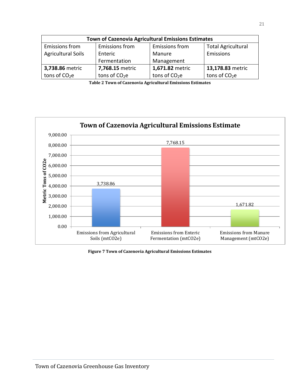| <b>Town of Cazenovia Agricultural Emissions Estimates</b>                                            |                           |                           |                           |  |  |  |  |  |  |
|------------------------------------------------------------------------------------------------------|---------------------------|---------------------------|---------------------------|--|--|--|--|--|--|
| <b>Emissions from</b><br><b>Emissions from</b><br><b>Total Agricultural</b><br><b>Emissions from</b> |                           |                           |                           |  |  |  |  |  |  |
| <b>Agricultural Soils</b>                                                                            | Enteric                   | Manure                    | Emissions                 |  |  |  |  |  |  |
|                                                                                                      | Fermentation              | Management                |                           |  |  |  |  |  |  |
| 3,738.86 metric                                                                                      | 7,768.15 metric           | 1,671.82 metric           | 13,178.83 metric          |  |  |  |  |  |  |
| tons of $CO2e$                                                                                       | tons of CO <sub>2</sub> e | tons of CO <sub>2</sub> e | tons of CO <sub>2</sub> e |  |  |  |  |  |  |

**Table 2 Town of Cazenovia Agricultural Emissions Estimates**

<span id="page-24-1"></span>

<span id="page-24-0"></span>**Figure 7 Town of Cazenovia Agricultural Emissions Estimates**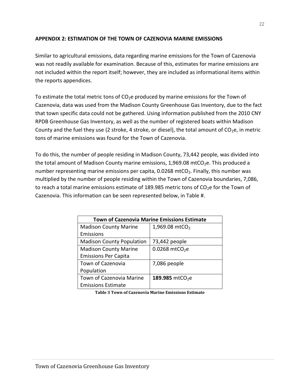#### <span id="page-25-0"></span>**APPENDIX 2: ESTIMATION OF THE TOWN OF CAZENOVIA MARINE EMISSIONS**

Similar to agricultural emissions, data regarding marine emissions for the Town of Cazenovia was not readily available for examination. Because of this, estimates for marine emissions are not included within the report itself; however, they are included as informational items within the reports appendices.

To estimate the total metric tons of  $CO<sub>2</sub>e$  produced by marine emissions for the Town of Cazenovia, data was used from the Madison County Greenhouse Gas Inventory, due to the fact that town specific data could not be gathered. Using information published from the 2010 CNY RPDB Greenhouse Gas Inventory, as well as the number of registered boats within Madison County and the fuel they use (2 stroke, 4 stroke, or diesel), the total amount of  $CO<sub>2</sub>e$ , in metric tons of marine emissions was found for the Town of Cazenovia.

To do this, the number of people residing in Madison County, 73,442 people, was divided into the total amount of Madison County marine emissions, 1,969.08 mtCO<sub>2</sub>e. This produced a number representing marine emissions per capita,  $0.0268$  mtCO<sub>2</sub>. Finally, this number was multiplied by the number of people residing within the Town of Cazenovia boundaries, 7,086, to reach a total marine emissions estimate of 189.985 metric tons of  $CO<sub>2</sub>e$  for the Town of Cazenovia. This information can be seen represented below, in Table #.

| <b>Town of Cazenovia Marine Emissions Estimate</b> |                              |  |  |  |  |  |  |  |
|----------------------------------------------------|------------------------------|--|--|--|--|--|--|--|
| <b>Madison County Marine</b>                       | 1,969.08 $mtCO2$             |  |  |  |  |  |  |  |
| Emissions                                          |                              |  |  |  |  |  |  |  |
| <b>Madison County Population</b>                   | 73,442 people                |  |  |  |  |  |  |  |
| <b>Madison County Marine</b>                       | $0.0268$ mtCO <sub>2</sub> e |  |  |  |  |  |  |  |
| <b>Emissions Per Capita</b>                        |                              |  |  |  |  |  |  |  |
| Town of Cazenovia                                  | 7,086 people                 |  |  |  |  |  |  |  |
| Population                                         |                              |  |  |  |  |  |  |  |
| Town of Cazenovia Marine                           | 189.985 mtCO <sub>2</sub> e  |  |  |  |  |  |  |  |
| <b>Emissions Estimate</b>                          |                              |  |  |  |  |  |  |  |

<span id="page-25-1"></span>**Table 3 Town of Cazenovia Marine Emissions Estimate**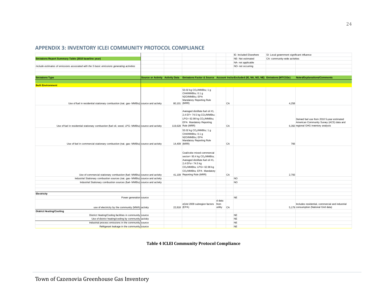#### **APPENDIX 3: INVENTORY ICLEI COMMUNITY PROTOCOL COMPLIANCE**

<span id="page-26-0"></span>

|                                                                                                   |                     |              |                                                                                                                       |         |    | IE- Included Elsewhere | SI- Local government significant influence |                                                 |
|---------------------------------------------------------------------------------------------------|---------------------|--------------|-----------------------------------------------------------------------------------------------------------------------|---------|----|------------------------|--------------------------------------------|-------------------------------------------------|
| Emissions Report Summary Table (2010 baseline year)                                               |                     |              |                                                                                                                       |         |    | NE- Not estimated      | CA- community-wide activities              |                                                 |
|                                                                                                   |                     |              |                                                                                                                       |         |    | NA- not applicable     |                                            |                                                 |
| Include estimates of emissions associated with the 5 basic emissions generating activities        |                     |              |                                                                                                                       |         |    | NO- not occurring      |                                            |                                                 |
|                                                                                                   |                     |              |                                                                                                                       |         |    |                        |                                            |                                                 |
|                                                                                                   |                     |              |                                                                                                                       |         |    |                        |                                            |                                                 |
| <b>Emissions Type</b>                                                                             |                     |              | Source or Activity Activity Data Emissions Factor & Source Account Inclu(Excluded (IE, NA, NO, NE) Emissions (MTCO2e) |         |    |                        |                                            | Notes/Explanations/Comments                     |
|                                                                                                   |                     |              |                                                                                                                       |         |    |                        |                                            |                                                 |
| <b>Built Environment</b>                                                                          |                     |              |                                                                                                                       |         |    |                        |                                            |                                                 |
|                                                                                                   |                     |              | 53.02 kg CO <sub>2</sub> /MMBtu; 1 g<br>CH4/MMBtu; 0.1 g                                                              |         |    |                        |                                            |                                                 |
| Use of fuel in residential stationary combustion (nat. gas- MMBtu) source and activity            |                     | 80.101 (MRR) | N2O/MMBtu; EPA<br>Mandatory Reporting Rule                                                                            |         | CA |                        | 4,258                                      |                                                 |
|                                                                                                   |                     |              |                                                                                                                       |         |    |                        |                                            |                                                 |
|                                                                                                   |                     |              | Averaged distillate fuel oil #1,                                                                                      |         |    |                        |                                            |                                                 |
|                                                                                                   |                     |              | 2,4 EF= 74.5 kg CO <sub>2</sub> /MMBtu;                                                                               |         |    |                        |                                            |                                                 |
|                                                                                                   |                     |              | LPG= 62.98 kg CO <sub>2</sub> /MMBtu;                                                                                 |         |    |                        |                                            | Derived fuel use from 2010 5-year estimated     |
|                                                                                                   |                     |              | EPA Mandatory Reporting                                                                                               |         |    |                        |                                            | American Community Survey (ACS) data and        |
| Use of fuel in residential stationary combustion (fuel oil, wood, LPG- MMBtu) source and activity |                     |              | 119,628 Rule (MRR)                                                                                                    |         | CA |                        |                                            | 6,350 regional GHG inventory analysis           |
|                                                                                                   |                     |              | 53.02 kg CO <sub>2</sub> /MMBtu; 1 g                                                                                  |         |    |                        |                                            |                                                 |
|                                                                                                   |                     |              | CH4/MMBtu; 0.1 g                                                                                                      |         |    |                        |                                            |                                                 |
|                                                                                                   |                     |              | N2O/MMBtu: EPA                                                                                                        |         |    |                        |                                            |                                                 |
| Use of fuel in commercial stationary combustion (nat. gas- MMBtu) source and activity             |                     | 14,409 (MRR) | Mandatory Reporting Rule                                                                                              |         | CA |                        | 766                                        |                                                 |
|                                                                                                   |                     |              |                                                                                                                       |         |    |                        |                                            |                                                 |
|                                                                                                   |                     |              |                                                                                                                       |         |    |                        |                                            |                                                 |
|                                                                                                   |                     |              | Coal/coke mixed commercial                                                                                            |         |    |                        |                                            |                                                 |
|                                                                                                   |                     |              | sector= 93.4 kg CO <sub>2</sub> /MMBtu;                                                                               |         |    |                        |                                            |                                                 |
|                                                                                                   |                     |              | Averaged distillate fuel oil #1,<br>2,4 EFs= 74.5 kg                                                                  |         |    |                        |                                            |                                                 |
|                                                                                                   |                     |              | CO <sub>2</sub> /MMBtu; LPG= 62.98 kg                                                                                 |         |    |                        |                                            |                                                 |
|                                                                                                   |                     |              | CO <sub>2</sub> /MMBtu; EPA Mandatory                                                                                 |         |    |                        |                                            |                                                 |
| Use of commercial stationary combustion (fuel- MMBtu) source and activity                         |                     |              | 41,109 Reporting Rule (MRR)                                                                                           |         | CA |                        | 2,793                                      |                                                 |
| Industrial Stationary combustion sources (nat. gas- MMBtu)                                        | source and activity |              |                                                                                                                       |         |    | <b>NO</b>              |                                            |                                                 |
| Industrial Stationary combustion sources (fuel- MMBtu)                                            | source and activity |              |                                                                                                                       |         |    | <b>NO</b>              |                                            |                                                 |
|                                                                                                   |                     |              |                                                                                                                       |         |    |                        |                                            |                                                 |
|                                                                                                   |                     |              |                                                                                                                       |         |    |                        |                                            |                                                 |
| Electricity                                                                                       |                     |              |                                                                                                                       |         |    |                        |                                            |                                                 |
| Power generation source                                                                           |                     |              |                                                                                                                       |         |    | <b>NE</b>              |                                            |                                                 |
|                                                                                                   |                     |              |                                                                                                                       | d data  |    |                        |                                            |                                                 |
|                                                                                                   |                     |              | eGrid 2009 subregion factors                                                                                          | from    |    |                        |                                            | Includes residential, commercial and industrial |
| use of electricity by the community (MWh) activity                                                |                     | 22,818 (EPA) |                                                                                                                       | utility | CA |                        |                                            | 5,179 consumption (National Grid data)          |
| <b>District Heating/Cooling</b>                                                                   |                     |              |                                                                                                                       |         |    |                        |                                            |                                                 |
| District Heating/Cooling facilities in community source                                           |                     |              |                                                                                                                       |         |    | <b>NE</b>              |                                            |                                                 |
| Use of district heating/cooling by community activity                                             |                     |              |                                                                                                                       |         |    | <b>NE</b>              |                                            |                                                 |
| Industrial process emissions in the community                                                     | source              |              |                                                                                                                       |         |    | <b>NE</b>              |                                            |                                                 |
| Refrigerant leakage in the community source                                                       |                     |              |                                                                                                                       |         |    | <b>NE</b>              |                                            |                                                 |

**Table 4 ICLEI Community Protocol Compliance**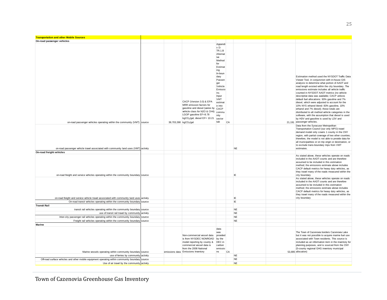| <b>Transportation and other Mobile Sources</b>                                                  |                      |                                          |                   |    |                        |                                                                                                       |
|-------------------------------------------------------------------------------------------------|----------------------|------------------------------------------|-------------------|----|------------------------|-------------------------------------------------------------------------------------------------------|
| On-road passenger vehicles                                                                      |                      |                                          |                   |    |                        |                                                                                                       |
|                                                                                                 |                      |                                          | Appendi           |    |                        |                                                                                                       |
|                                                                                                 |                      |                                          | x D:<br>TR.1.B    |    |                        |                                                                                                       |
|                                                                                                 |                      |                                          | Alternat          |    |                        |                                                                                                       |
|                                                                                                 |                      |                                          | ive               |    |                        |                                                                                                       |
|                                                                                                 |                      |                                          | Method            |    |                        |                                                                                                       |
|                                                                                                 |                      |                                          | for               |    |                        |                                                                                                       |
|                                                                                                 |                      |                                          | Estimat           |    |                        |                                                                                                       |
|                                                                                                 |                      |                                          | ing               |    |                        |                                                                                                       |
|                                                                                                 |                      |                                          | In-boun           |    |                        |                                                                                                       |
|                                                                                                 |                      |                                          | dary<br>Passen    |    |                        | Estimation method used the NYSDOT Traffic Data<br>Viewer Tool, in conjunction with in-house GIS       |
|                                                                                                 |                      |                                          | aer               |    |                        | analysis to determine what portion of AADT and                                                        |
|                                                                                                 |                      |                                          | Vehicle           |    |                        | road length existed within the city boundary. The                                                     |
|                                                                                                 |                      |                                          | Emissio           |    |                        | emissions estimate includes all vehicle traffic                                                       |
|                                                                                                 |                      |                                          | ns:               |    |                        | counted in NYSDOT AADT metrics (no vehicle                                                            |
|                                                                                                 |                      |                                          | Input             |    |                        | descriptive data was available: CACP utilizes                                                         |
|                                                                                                 |                      | CACP (Version 3.0) & EPA                 | <b>VMT</b>        |    |                        | default fuel allocations: 93% gasoline and 7%                                                         |
|                                                                                                 |                      | MRR emission factors for                 | estimat<br>e into |    |                        | diesel, which were adjusted to account for the<br>10% NYS ethanol blend: 83% gasoline, 10%            |
|                                                                                                 |                      | gasoline and diesel (varies by CACP      |                   |    |                        | ethanol and 7% diesel); these totals are                                                              |
|                                                                                                 |                      | vehicle class for N2O & CH4): commu      |                   |    |                        | distributed to alt method vehicle categories in the                                                   |
|                                                                                                 |                      | LGOP gasoline EF=8.78                    | nity              |    |                        | software, with the assumption that diesel is used                                                     |
|                                                                                                 |                      | kgCO <sub>2</sub> /gal; diesel EF= 10.21 | sector            |    |                        | by HDV and gasoline is used by LDV and                                                                |
| on-road passenger vehicles operating within the community (VMT) source                          | 39,703,390 kgCO2/gal |                                          | tab               | CA |                        | 21,191 passenger vehicles.                                                                            |
|                                                                                                 |                      |                                          |                   |    |                        | Data from the Syracuse Metropolitan                                                                   |
|                                                                                                 |                      |                                          |                   |    |                        | Transportation Council (our only MPO) travel                                                          |
|                                                                                                 |                      |                                          |                   |    |                        | demand model only covers 1 county in the CNY<br>region, with partial coverage of two other counties;  |
|                                                                                                 |                      |                                          |                   |    |                        | therefore, the model is not able to provide data for                                                  |
|                                                                                                 |                      |                                          |                   |    |                        | all municipalities or on trip origin or destination, or                                               |
|                                                                                                 |                      |                                          |                   |    |                        | to exclude trans-boundary trips from VMT                                                              |
| on-road passenger vehicle travel associated with community land uses (VMT) activity             |                      |                                          |                   |    | <b>NE</b>              | estimates.                                                                                            |
| On-road freight vehicles                                                                        |                      |                                          |                   |    |                        |                                                                                                       |
|                                                                                                 |                      |                                          |                   |    |                        | As stated above, these vehicles operate on roads                                                      |
|                                                                                                 |                      |                                          |                   |    |                        | included in the AADT counts and are therefore                                                         |
|                                                                                                 |                      |                                          |                   |    |                        | assumed to be included in this estimation                                                             |
|                                                                                                 |                      |                                          |                   |    |                        | method; the emissions estimate above includes<br>CACP default metrics for heavy duty vehicles, as     |
|                                                                                                 |                      |                                          |                   |    |                        | they travel many of the roads measured within the                                                     |
| on-road freight and service vehicles operating within the community boundary source             |                      |                                          |                   |    | IE                     | city boundary                                                                                         |
|                                                                                                 |                      |                                          |                   |    |                        | As stated above, these vehicles operate on roads                                                      |
|                                                                                                 |                      |                                          |                   |    |                        | included in the AADT counts and are therefore                                                         |
|                                                                                                 |                      |                                          |                   |    |                        | assumed to be included in this estimation                                                             |
|                                                                                                 |                      |                                          |                   |    |                        | method; the emissions estimate above includes                                                         |
|                                                                                                 |                      |                                          |                   |    |                        | CACP default metrics for heavy duty vehicles, as<br>they travel many of the roads measured within the |
| on-road freight and service vehicle travel associated with community land uses activity         |                      |                                          |                   |    | IE                     | city boundary                                                                                         |
| On-road transit vehicles operating within the community boundary source                         |                      |                                          |                   |    | IE.                    |                                                                                                       |
| <b>Transit Rail</b>                                                                             |                      |                                          |                   |    |                        |                                                                                                       |
| transit rail vehicles operating within the community boundary source                            |                      |                                          |                   |    | <b>NE</b>              |                                                                                                       |
| use of transit rail travel by community activity                                                |                      |                                          |                   |    | <b>NE</b>              |                                                                                                       |
| Inter-city passenger rail vehicles operating within the community boundary source               |                      |                                          |                   |    | <b>NE</b>              |                                                                                                       |
| Freight rail vehicles operating within the community boundary source                            |                      |                                          |                   |    | <b>NE</b>              |                                                                                                       |
| <b>Marine</b>                                                                                   |                      |                                          |                   |    |                        |                                                                                                       |
|                                                                                                 |                      |                                          | data              |    |                        |                                                                                                       |
|                                                                                                 |                      |                                          | was               |    |                        | The Town of Cazenovia borders Cazenovia Lake                                                          |
|                                                                                                 |                      | Non-commercial vessel data               | provided          |    |                        | but it was not possible to acquire marine fuel use                                                    |
|                                                                                                 |                      | is from NYSDEC NONROAD                   | by the            |    |                        | associated with Town residents. This source is                                                        |
|                                                                                                 |                      | model reporting by county &              | DEC in            |    |                        | included as an information item in the inventory for                                                  |
|                                                                                                 |                      | commercial vessel data is                | carbon            |    |                        | planning purposes, and is sourced from the CNY                                                        |
|                                                                                                 |                      | from the 2008 National                   | emissio           |    |                        | (5-county regional GHG inventory municipal                                                            |
| Marine vessels operating within community boundary source                                       |                      | emissions data Emissions Inventory       | ns                | CA |                        | 53,895 allocation)                                                                                    |
| use of ferries by community activity                                                            |                      |                                          |                   |    | <b>NE</b><br><b>NE</b> |                                                                                                       |
| Off-road surface vehicles and other mobile equipment operating within community boundary source |                      |                                          |                   |    |                        |                                                                                                       |
| Use of air travel by the community activity                                                     |                      |                                          |                   |    | <b>NE</b>              |                                                                                                       |